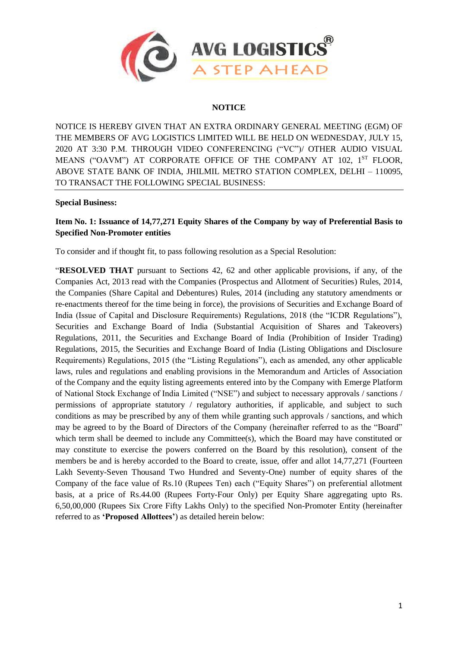

# **NOTICE**

NOTICE IS HEREBY GIVEN THAT AN EXTRA ORDINARY GENERAL MEETING (EGM) OF THE MEMBERS OF AVG LOGISTICS LIMITED WILL BE HELD ON WEDNESDAY, JULY 15, 2020 AT 3:30 P.M. THROUGH VIDEO CONFERENCING ("VC")/ OTHER AUDIO VISUAL MEANS ("OAVM") AT CORPORATE OFFICE OF THE COMPANY AT 102, 1<sup>ST</sup> FLOOR, ABOVE STATE BANK OF INDIA, JHILMIL METRO STATION COMPLEX, DELHI – 110095, TO TRANSACT THE FOLLOWING SPECIAL BUSINESS:

#### **Special Business:**

# **Item No. 1: Issuance of 14,77,271 Equity Shares of the Company by way of Preferential Basis to Specified Non-Promoter entities**

To consider and if thought fit, to pass following resolution as a Special Resolution:

"**RESOLVED THAT** pursuant to Sections 42, 62 and other applicable provisions, if any, of the Companies Act, 2013 read with the Companies (Prospectus and Allotment of Securities) Rules, 2014, the Companies (Share Capital and Debentures) Rules, 2014 (including any statutory amendments or re-enactments thereof for the time being in force), the provisions of Securities and Exchange Board of India (Issue of Capital and Disclosure Requirements) Regulations, 2018 (the "ICDR Regulations"), Securities and Exchange Board of India (Substantial Acquisition of Shares and Takeovers) Regulations, 2011, the Securities and Exchange Board of India (Prohibition of Insider Trading) Regulations, 2015, the Securities and Exchange Board of India (Listing Obligations and Disclosure Requirements) Regulations, 2015 (the "Listing Regulations"), each as amended, any other applicable laws, rules and regulations and enabling provisions in the Memorandum and Articles of Association of the Company and the equity listing agreements entered into by the Company with Emerge Platform of National Stock Exchange of India Limited ("NSE") and subject to necessary approvals / sanctions / permissions of appropriate statutory / regulatory authorities, if applicable, and subject to such conditions as may be prescribed by any of them while granting such approvals / sanctions, and which may be agreed to by the Board of Directors of the Company (hereinafter referred to as the "Board" which term shall be deemed to include any Committee(s), which the Board may have constituted or may constitute to exercise the powers conferred on the Board by this resolution), consent of the members be and is hereby accorded to the Board to create, issue, offer and allot 14,77,271 (Fourteen Lakh Seventy-Seven Thousand Two Hundred and Seventy-One) number of equity shares of the Company of the face value of Rs.10 (Rupees Ten) each ("Equity Shares") on preferential allotment basis, at a price of Rs.44.00 (Rupees Forty-Four Only) per Equity Share aggregating upto Rs. 6,50,00,000 (Rupees Six Crore Fifty Lakhs Only) to the specified Non-Promoter Entity (hereinafter referred to as **'Proposed Allottees'**) as detailed herein below: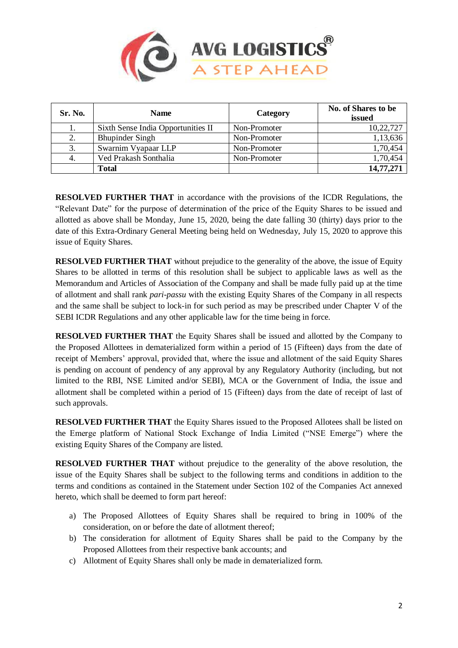

| Sr. No. | <b>Name</b>                        | Category     | No. of Shares to be<br>issued |  |
|---------|------------------------------------|--------------|-------------------------------|--|
|         | Sixth Sense India Opportunities II | Non-Promoter | 10,22,727                     |  |
| 2.      | <b>Bhupinder Singh</b>             | Non-Promoter | 1,13,636                      |  |
| 3.      | Swarnim Vyapaar LLP                | Non-Promoter | 1,70,454                      |  |
| 4.      | Ved Prakash Sonthalia              | Non-Promoter | 1,70,454                      |  |
|         | Total                              |              | 14,77,271                     |  |

**RESOLVED FURTHER THAT** in accordance with the provisions of the ICDR Regulations, the "Relevant Date" for the purpose of determination of the price of the Equity Shares to be issued and allotted as above shall be Monday, June 15, 2020, being the date falling 30 (thirty) days prior to the date of this Extra-Ordinary General Meeting being held on Wednesday, July 15, 2020 to approve this issue of Equity Shares.

**RESOLVED FURTHER THAT** without prejudice to the generality of the above, the issue of Equity Shares to be allotted in terms of this resolution shall be subject to applicable laws as well as the Memorandum and Articles of Association of the Company and shall be made fully paid up at the time of allotment and shall rank *pari-passu* with the existing Equity Shares of the Company in all respects and the same shall be subject to lock-in for such period as may be prescribed under Chapter V of the SEBI ICDR Regulations and any other applicable law for the time being in force.

**RESOLVED FURTHER THAT** the Equity Shares shall be issued and allotted by the Company to the Proposed Allottees in dematerialized form within a period of 15 (Fifteen) days from the date of receipt of Members' approval, provided that, where the issue and allotment of the said Equity Shares is pending on account of pendency of any approval by any Regulatory Authority (including, but not limited to the RBI, NSE Limited and/or SEBI), MCA or the Government of India, the issue and allotment shall be completed within a period of 15 (Fifteen) days from the date of receipt of last of such approvals.

**RESOLVED FURTHER THAT** the Equity Shares issued to the Proposed Allotees shall be listed on the Emerge platform of National Stock Exchange of India Limited ("NSE Emerge") where the existing Equity Shares of the Company are listed.

**RESOLVED FURTHER THAT** without prejudice to the generality of the above resolution, the issue of the Equity Shares shall be subject to the following terms and conditions in addition to the terms and conditions as contained in the Statement under Section 102 of the Companies Act annexed hereto, which shall be deemed to form part hereof:

- a) The Proposed Allottees of Equity Shares shall be required to bring in 100% of the consideration, on or before the date of allotment thereof;
- b) The consideration for allotment of Equity Shares shall be paid to the Company by the Proposed Allottees from their respective bank accounts; and
- c) Allotment of Equity Shares shall only be made in dematerialized form.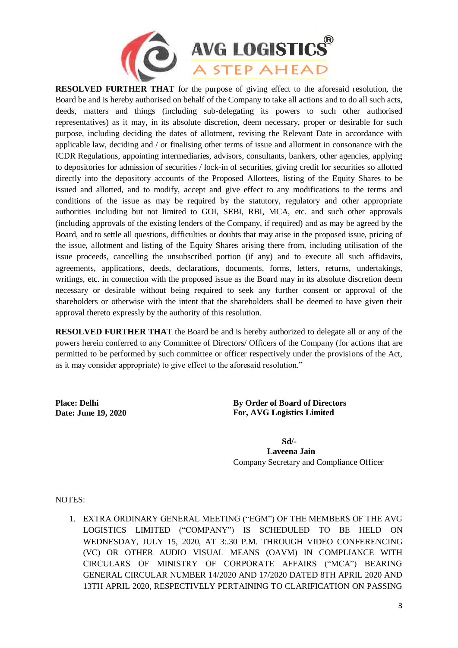

**RESOLVED FURTHER THAT** for the purpose of giving effect to the aforesaid resolution, the Board be and is hereby authorised on behalf of the Company to take all actions and to do all such acts, deeds, matters and things (including sub-delegating its powers to such other authorised representatives) as it may, in its absolute discretion, deem necessary, proper or desirable for such purpose, including deciding the dates of allotment, revising the Relevant Date in accordance with applicable law, deciding and / or finalising other terms of issue and allotment in consonance with the ICDR Regulations, appointing intermediaries, advisors, consultants, bankers, other agencies, applying to depositories for admission of securities / lock-in of securities, giving credit for securities so allotted directly into the depository accounts of the Proposed Allottees, listing of the Equity Shares to be issued and allotted, and to modify, accept and give effect to any modifications to the terms and conditions of the issue as may be required by the statutory, regulatory and other appropriate authorities including but not limited to GOI, SEBI, RBI, MCA, etc. and such other approvals (including approvals of the existing lenders of the Company, if required) and as may be agreed by the Board, and to settle all questions, difficulties or doubts that may arise in the proposed issue, pricing of the issue, allotment and listing of the Equity Shares arising there from, including utilisation of the issue proceeds, cancelling the unsubscribed portion (if any) and to execute all such affidavits, agreements, applications, deeds, declarations, documents, forms, letters, returns, undertakings, writings, etc. in connection with the proposed issue as the Board may in its absolute discretion deem necessary or desirable without being required to seek any further consent or approval of the shareholders or otherwise with the intent that the shareholders shall be deemed to have given their approval thereto expressly by the authority of this resolution.

**RESOLVED FURTHER THAT** the Board be and is hereby authorized to delegate all or any of the powers herein conferred to any Committee of Directors/ Officers of the Company (for actions that are permitted to be performed by such committee or officer respectively under the provisions of the Act, as it may consider appropriate) to give effect to the aforesaid resolution."

**Place: Delhi Date: June 19, 2020** **By Order of Board of Directors For, AVG Logistics Limited** 

 **Sd/- Laveena Jain** Company Secretary and Compliance Officer

NOTES:

1. EXTRA ORDINARY GENERAL MEETING ("EGM") OF THE MEMBERS OF THE AVG LOGISTICS LIMITED ("COMPANY") IS SCHEDULED TO BE HELD ON WEDNESDAY, JULY 15, 2020, AT 3:.30 P.M. THROUGH VIDEO CONFERENCING (VC) OR OTHER AUDIO VISUAL MEANS (OAVM) IN COMPLIANCE WITH CIRCULARS OF MINISTRY OF CORPORATE AFFAIRS ("MCA") BEARING GENERAL CIRCULAR NUMBER 14/2020 AND 17/2020 DATED 8TH APRIL 2020 AND 13TH APRIL 2020, RESPECTIVELY PERTAINING TO CLARIFICATION ON PASSING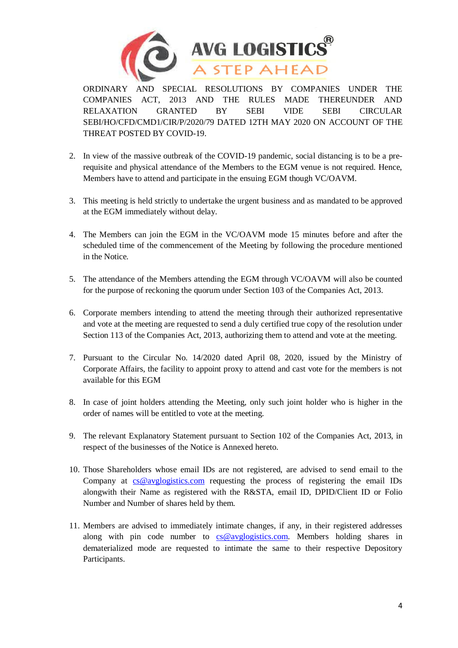

ORDINARY AND SPECIAL RESOLUTIONS BY COMPANIES UNDER THE COMPANIES ACT, 2013 AND THE RULES MADE THEREUNDER AND RELAXATION GRANTED BY SEBI VIDE SEBI CIRCULAR SEBI/HO/CFD/CMD1/CIR/P/2020/79 DATED 12TH MAY 2020 ON ACCOUNT OF THE THREAT POSTED BY COVID-19.

- 2. In view of the massive outbreak of the COVID-19 pandemic, social distancing is to be a prerequisite and physical attendance of the Members to the EGM venue is not required. Hence, Members have to attend and participate in the ensuing EGM though VC/OAVM.
- 3. This meeting is held strictly to undertake the urgent business and as mandated to be approved at the EGM immediately without delay.
- 4. The Members can join the EGM in the VC/OAVM mode 15 minutes before and after the scheduled time of the commencement of the Meeting by following the procedure mentioned in the Notice.
- 5. The attendance of the Members attending the EGM through VC/OAVM will also be counted for the purpose of reckoning the quorum under Section 103 of the Companies Act, 2013.
- 6. Corporate members intending to attend the meeting through their authorized representative and vote at the meeting are requested to send a duly certified true copy of the resolution under Section 113 of the Companies Act, 2013, authorizing them to attend and vote at the meeting.
- 7. Pursuant to the Circular No. 14/2020 dated April 08, 2020, issued by the Ministry of Corporate Affairs, the facility to appoint proxy to attend and cast vote for the members is not available for this EGM
- 8. In case of joint holders attending the Meeting, only such joint holder who is higher in the order of names will be entitled to vote at the meeting.
- 9. The relevant Explanatory Statement pursuant to Section 102 of the Companies Act, 2013, in respect of the businesses of the Notice is Annexed hereto.
- 10. Those Shareholders whose email IDs are not registered, are advised to send email to the Company at [cs@avglogistics.com](mailto:cs@avglogistics.com) requesting the process of registering the email IDs alongwith their Name as registered with the R&STA, email ID, DPID/Client ID or Folio Number and Number of shares held by them.
- 11. Members are advised to immediately intimate changes, if any, in their registered addresses along with pin code number to [cs@avglogistics.com.](mailto:cs@avglogistics.com) Members holding shares in dematerialized mode are requested to intimate the same to their respective Depository Participants.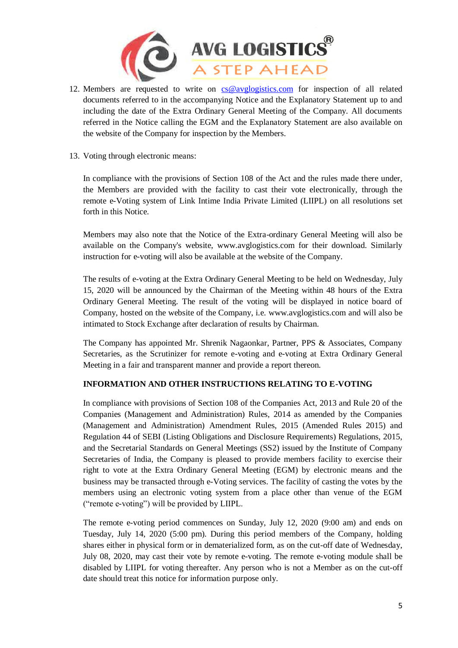

- 12. Members are requested to write on [cs@avglogistics.com](mailto:cs@avglogistics.com) for inspection of all related documents referred to in the accompanying Notice and the Explanatory Statement up to and including the date of the Extra Ordinary General Meeting of the Company. All documents referred in the Notice calling the EGM and the Explanatory Statement are also available on the website of the Company for inspection by the Members.
- 13. Voting through electronic means:

In compliance with the provisions of Section 108 of the Act and the rules made there under, the Members are provided with the facility to cast their vote electronically, through the remote e-Voting system of Link Intime India Private Limited (LIIPL) on all resolutions set forth in this Notice.

Members may also note that the Notice of the Extra-ordinary General Meeting will also be available on the Company's website, www.avglogistics.com for their download. Similarly instruction for e-voting will also be available at the website of the Company.

The results of e-voting at the Extra Ordinary General Meeting to be held on Wednesday, July 15, 2020 will be announced by the Chairman of the Meeting within 48 hours of the Extra Ordinary General Meeting. The result of the voting will be displayed in notice board of Company, hosted on the website of the Company, i.e. www.avglogistics.com and will also be intimated to Stock Exchange after declaration of results by Chairman.

The Company has appointed Mr. Shrenik Nagaonkar, Partner, PPS & Associates, Company Secretaries, as the Scrutinizer for remote e-voting and e-voting at Extra Ordinary General Meeting in a fair and transparent manner and provide a report thereon.

# **INFORMATION AND OTHER INSTRUCTIONS RELATING TO E-VOTING**

In compliance with provisions of Section 108 of the Companies Act, 2013 and Rule 20 of the Companies (Management and Administration) Rules, 2014 as amended by the Companies (Management and Administration) Amendment Rules, 2015 (Amended Rules 2015) and Regulation 44 of SEBI (Listing Obligations and Disclosure Requirements) Regulations, 2015, and the Secretarial Standards on General Meetings (SS2) issued by the Institute of Company Secretaries of India, the Company is pleased to provide members facility to exercise their right to vote at the Extra Ordinary General Meeting (EGM) by electronic means and the business may be transacted through e-Voting services. The facility of casting the votes by the members using an electronic voting system from a place other than venue of the EGM ("remote e-voting") will be provided by LIIPL.

The remote e-voting period commences on Sunday, July 12, 2020 (9:00 am) and ends on Tuesday, July 14, 2020 (5:00 pm). During this period members of the Company, holding shares either in physical form or in dematerialized form, as on the cut-off date of Wednesday, July 08, 2020, may cast their vote by remote e-voting. The remote e-voting module shall be disabled by LIIPL for voting thereafter. Any person who is not a Member as on the cut-off date should treat this notice for information purpose only.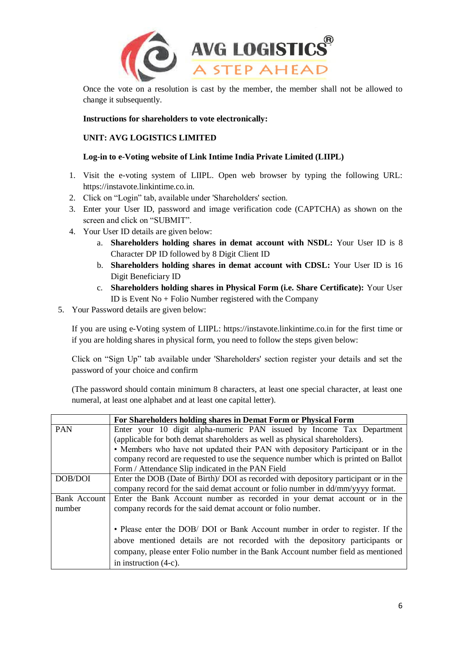

Once the vote on a resolution is cast by the member, the member shall not be allowed to change it subsequently.

#### **Instructions for shareholders to vote electronically:**

# **UNIT: AVG LOGISTICS LIMITED**

# **Log-in to e-Voting website of Link Intime India Private Limited (LIIPL)**

- 1. Visit the e-voting system of LIIPL. Open web browser by typing the following URL: https://instavote.linkintime.co.in.
- 2. Click on "Login" tab, available under 'Shareholders' section.
- 3. Enter your User ID, password and image verification code (CAPTCHA) as shown on the screen and click on "SUBMIT".
- 4. Your User ID details are given below:
	- a. **Shareholders holding shares in demat account with NSDL:** Your User ID is 8 Character DP ID followed by 8 Digit Client ID
	- b. **Shareholders holding shares in demat account with CDSL:** Your User ID is 16 Digit Beneficiary ID
	- c. **Shareholders holding shares in Physical Form (i.e. Share Certificate):** Your User ID is Event No + Folio Number registered with the Company
- 5. Your Password details are given below:

If you are using e-Voting system of LIIPL: https://instavote.linkintime.co.in for the first time or if you are holding shares in physical form, you need to follow the steps given below:

Click on "Sign Up" tab available under 'Shareholders' section register your details and set the password of your choice and confirm

(The password should contain minimum 8 characters, at least one special character, at least one numeral, at least one alphabet and at least one capital letter).

|              | For Shareholders holding shares in Demat Form or Physical Form                       |
|--------------|--------------------------------------------------------------------------------------|
| <b>PAN</b>   | Enter your 10 digit alpha-numeric PAN issued by Income Tax Department                |
|              | (applicable for both demat shareholders as well as physical shareholders).           |
|              | • Members who have not updated their PAN with depository Participant or in the       |
|              | company record are requested to use the sequence number which is printed on Ballot   |
|              | Form / Attendance Slip indicated in the PAN Field                                    |
| DOB/DOI      | Enter the DOB (Date of Birth)/ DOI as recorded with depository participant or in the |
|              | company record for the said demat account or folio number in dd/mm/yyyy format.      |
| Bank Account | Enter the Bank Account number as recorded in your demat account or in the            |
| number       | company records for the said demat account or folio number.                          |
|              |                                                                                      |
|              | • Please enter the DOB/ DOI or Bank Account number in order to register. If the      |
|              | above mentioned details are not recorded with the depository participants or         |
|              | company, please enter Folio number in the Bank Account number field as mentioned     |
|              | in instruction $(4-c)$ .                                                             |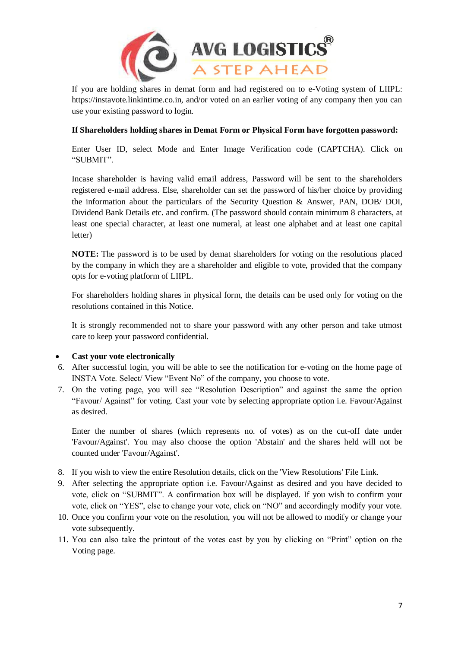

If you are holding shares in demat form and had registered on to e-Voting system of LIIPL: https://instavote.linkintime.co.in, and/or voted on an earlier voting of any company then you can use your existing password to login.

# **If Shareholders holding shares in Demat Form or Physical Form have forgotten password:**

Enter User ID, select Mode and Enter Image Verification code (CAPTCHA). Click on "SUBMIT".

Incase shareholder is having valid email address, Password will be sent to the shareholders registered e-mail address. Else, shareholder can set the password of his/her choice by providing the information about the particulars of the Security Question & Answer, PAN, DOB/ DOI, Dividend Bank Details etc. and confirm. (The password should contain minimum 8 characters, at least one special character, at least one numeral, at least one alphabet and at least one capital letter)

**NOTE:** The password is to be used by demat shareholders for voting on the resolutions placed by the company in which they are a shareholder and eligible to vote, provided that the company opts for e-voting platform of LIIPL.

For shareholders holding shares in physical form, the details can be used only for voting on the resolutions contained in this Notice.

It is strongly recommended not to share your password with any other person and take utmost care to keep your password confidential.

#### **Cast your vote electronically**

- 6. After successful login, you will be able to see the notification for e-voting on the home page of INSTA Vote. Select/ View "Event No" of the company, you choose to vote.
- 7. On the voting page, you will see "Resolution Description" and against the same the option "Favour/ Against" for voting. Cast your vote by selecting appropriate option i.e. Favour/Against as desired.

Enter the number of shares (which represents no. of votes) as on the cut-off date under 'Favour/Against'. You may also choose the option 'Abstain' and the shares held will not be counted under 'Favour/Against'.

- 8. If you wish to view the entire Resolution details, click on the 'View Resolutions' File Link.
- 9. After selecting the appropriate option i.e. Favour/Against as desired and you have decided to vote, click on "SUBMIT". A confirmation box will be displayed. If you wish to confirm your vote, click on "YES", else to change your vote, click on "NO" and accordingly modify your vote.
- 10. Once you confirm your vote on the resolution, you will not be allowed to modify or change your vote subsequently.
- 11. You can also take the printout of the votes cast by you by clicking on "Print" option on the Voting page.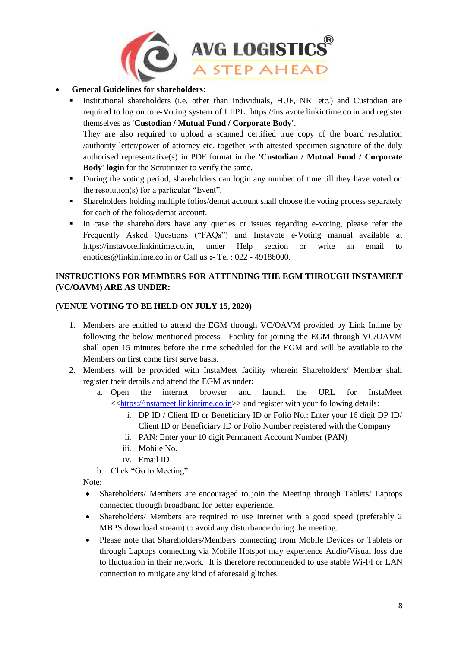

# **General Guidelines for shareholders:**

 Institutional shareholders (i.e. other than Individuals, HUF, NRI etc.) and Custodian are required to log on to e-Voting system of LIIPL: https://instavote.linkintime.co.in and register themselves as **'Custodian / Mutual Fund / Corporate Body'**. They are also required to upload a scanned certified true copy of the board resolution

/authority letter/power of attorney etc. together with attested specimen signature of the duly authorised representative(s) in PDF format in the **'Custodian / Mutual Fund / Corporate Body' login** for the Scrutinizer to verify the same.

- During the voting period, shareholders can login any number of time till they have voted on the resolution(s) for a particular "Event".
- Shareholders holding multiple folios/demat account shall choose the voting process separately for each of the folios/demat account.
- In case the shareholders have any queries or issues regarding e-voting, please refer the Frequently Asked Questions ("FAQs") and Instavote e-Voting manual available at https://instavote.linkintime.co.in, under Help section or write an email to enotices@linkintime.co.in or Call us **:-** Tel : 022 - 49186000.

# **INSTRUCTIONS FOR MEMBERS FOR ATTENDING THE EGM THROUGH INSTAMEET (VC/OAVM) ARE AS UNDER:**

# **(VENUE VOTING TO BE HELD ON JULY 15, 2020)**

- 1. Members are entitled to attend the EGM through VC/OAVM provided by Link Intime by following the below mentioned process. Facility for joining the EGM through VC/OAVM shall open 15 minutes before the time scheduled for the EGM and will be available to the Members on first come first serve basis.
- 2. Members will be provided with InstaMeet facility wherein Shareholders/ Member shall register their details and attend the EGM as under:
	- a. Open the internet browser and launch the URL for InstaMeet <[<https://instameet.linkintime.co.in>](https://instameet.linkintime.co.in/)> and register with your following details:
		- i. DP ID / Client ID or Beneficiary ID or Folio No.: Enter your 16 digit DP ID/ Client ID or Beneficiary ID or Folio Number registered with the Company
		- ii. PAN: Enter your 10 digit Permanent Account Number (PAN)
		- iii. Mobile No.
		- iv. Email ID
	- b. Click "Go to Meeting"

Note:

- Shareholders/ Members are encouraged to join the Meeting through Tablets/ Laptops connected through broadband for better experience.
- Shareholders/ Members are required to use Internet with a good speed (preferably 2 MBPS download stream) to avoid any disturbance during the meeting.
- Please note that Shareholders/Members connecting from Mobile Devices or Tablets or through Laptops connecting via Mobile Hotspot may experience Audio/Visual loss due to fluctuation in their network. It is therefore recommended to use stable Wi-FI or LAN connection to mitigate any kind of aforesaid glitches.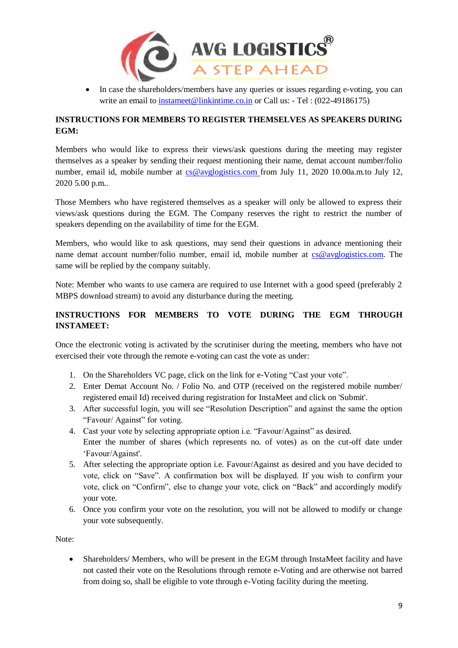

• In case the shareholders/members have any queries or issues regarding e-voting, you can write an email to [instameet@linkintime.co.in](mailto:instameet@linkintime.co.in) or Call us: - Tel: (022-49186175)

# **INSTRUCTIONS FOR MEMBERS TO REGISTER THEMSELVES AS SPEAKERS DURING EGM:**

Members who would like to express their views/ask questions during the meeting may register themselves as a speaker by sending their request mentioning their name, demat account number/folio number, email id, mobile number at [cs@avglogistics.com](mailto:cs@avglogistics.com) from July 11, 2020 10.00a.m.to July 12, 2020 5.00 p.m..

Those Members who have registered themselves as a speaker will only be allowed to express their views/ask questions during the EGM. The Company reserves the right to restrict the number of speakers depending on the availability of time for the EGM.

Members, who would like to ask questions, may send their questions in advance mentioning their name demat account number/folio number, email id, mobile number at [cs@avglogistics.com.](mailto:cs@avglogistics.com) The same will be replied by the company suitably.

Note: Member who wants to use camera are required to use Internet with a good speed (preferably 2 MBPS download stream) to avoid any disturbance during the meeting.

# **INSTRUCTIONS FOR MEMBERS TO VOTE DURING THE EGM THROUGH INSTAMEET:**

Once the electronic voting is activated by the scrutiniser during the meeting, members who have not exercised their vote through the remote e-voting can cast the vote as under:

- 1. On the Shareholders VC page, click on the link for e-Voting "Cast your vote".
- 2. Enter Demat Account No. / Folio No. and OTP (received on the registered mobile number/ registered email Id) received during registration for InstaMeet and click on 'Submit'.
- 3. After successful login, you will see "Resolution Description" and against the same the option "Favour/ Against" for voting.
- 4. Cast your vote by selecting appropriate option i.e. "Favour/Against" as desired. Enter the number of shares (which represents no. of votes) as on the cut-off date under 'Favour/Against'.
- 5. After selecting the appropriate option i.e. Favour/Against as desired and you have decided to vote, click on "Save". A confirmation box will be displayed. If you wish to confirm your vote, click on "Confirm", else to change your vote, click on "Back" and accordingly modify your vote.
- 6. Once you confirm your vote on the resolution, you will not be allowed to modify or change your vote subsequently.

Note:

 Shareholders/ Members, who will be present in the EGM through InstaMeet facility and have not casted their vote on the Resolutions through remote e-Voting and are otherwise not barred from doing so, shall be eligible to vote through e-Voting facility during the meeting.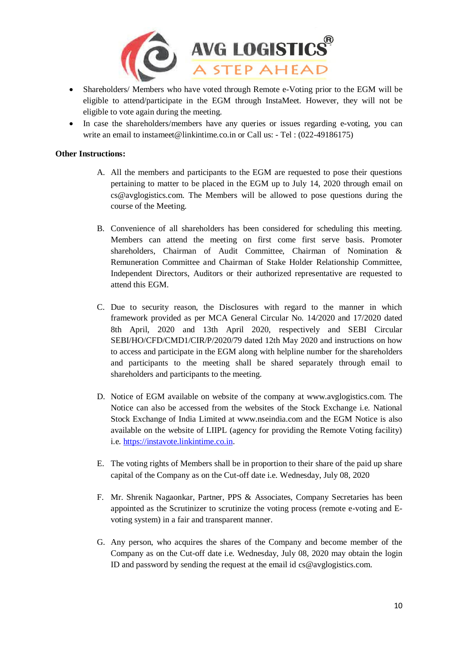

- Shareholders/ Members who have voted through Remote e-Voting prior to the EGM will be eligible to attend/participate in the EGM through InstaMeet. However, they will not be eligible to vote again during the meeting.
- In case the shareholders/members have any queries or issues regarding e-voting, you can write an email to instameet@linkintime.co.in or Call us: - Tel: (022-49186175)

#### **Other Instructions:**

- A. All the members and participants to the EGM are requested to pose their questions pertaining to matter to be placed in the EGM up to July 14, 2020 through email on cs@avglogistics.com. The Members will be allowed to pose questions during the course of the Meeting.
- B. Convenience of all shareholders has been considered for scheduling this meeting. Members can attend the meeting on first come first serve basis. Promoter shareholders, Chairman of Audit Committee, Chairman of Nomination & Remuneration Committee and Chairman of Stake Holder Relationship Committee, Independent Directors, Auditors or their authorized representative are requested to attend this EGM.
- C. Due to security reason, the Disclosures with regard to the manner in which framework provided as per MCA General Circular No. 14/2020 and 17/2020 dated 8th April, 2020 and 13th April 2020, respectively and SEBI Circular SEBI/HO/CFD/CMD1/CIR/P/2020/79 dated 12th May 2020 and instructions on how to access and participate in the EGM along with helpline number for the shareholders and participants to the meeting shall be shared separately through email to shareholders and participants to the meeting.
- D. Notice of EGM available on website of the company at www.avglogistics.com. The Notice can also be accessed from the websites of the Stock Exchange i.e. National Stock Exchange of India Limited at www.nseindia.com and the EGM Notice is also available on the website of LIIPL (agency for providing the Remote Voting facility) i.e. [https://instavote.linkintime.co.in.](https://instavote.linkintime.co.in/)
- E. The voting rights of Members shall be in proportion to their share of the paid up share capital of the Company as on the Cut-off date i.e. Wednesday, July 08, 2020
- F. Mr. Shrenik Nagaonkar, Partner, PPS & Associates, Company Secretaries has been appointed as the Scrutinizer to scrutinize the voting process (remote e-voting and Evoting system) in a fair and transparent manner.
- G. Any person, who acquires the shares of the Company and become member of the Company as on the Cut-off date i.e. Wednesday, July 08, 2020 may obtain the login ID and password by sending the request at the email id cs@avglogistics.com.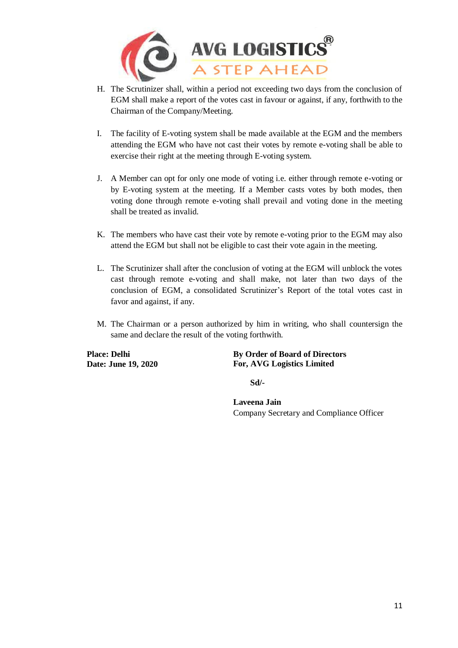

- H. The Scrutinizer shall, within a period not exceeding two days from the conclusion of EGM shall make a report of the votes cast in favour or against, if any, forthwith to the Chairman of the Company/Meeting.
- I. The facility of E-voting system shall be made available at the EGM and the members attending the EGM who have not cast their votes by remote e-voting shall be able to exercise their right at the meeting through E-voting system.
- J. A Member can opt for only one mode of voting i.e. either through remote e-voting or by E-voting system at the meeting. If a Member casts votes by both modes, then voting done through remote e-voting shall prevail and voting done in the meeting shall be treated as invalid.
- K. The members who have cast their vote by remote e-voting prior to the EGM may also attend the EGM but shall not be eligible to cast their vote again in the meeting.
- L. The Scrutinizer shall after the conclusion of voting at the EGM will unblock the votes cast through remote e-voting and shall make, not later than two days of the conclusion of EGM, a consolidated Scrutinizer's Report of the total votes cast in favor and against, if any.
- M. The Chairman or a person authorized by him in writing, who shall countersign the same and declare the result of the voting forthwith.

**Place: Delhi Date: June 19, 2020** **By Order of Board of Directors For, AVG Logistics Limited** 

 **Sd/-**

**Laveena Jain** Company Secretary and Compliance Officer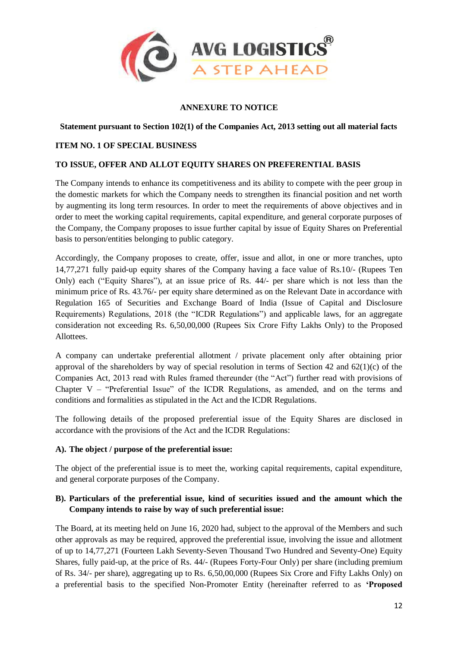

# **ANNEXURE TO NOTICE**

#### **Statement pursuant to Section 102(1) of the Companies Act, 2013 setting out all material facts**

#### **ITEM NO. 1 OF SPECIAL BUSINESS**

#### **TO ISSUE, OFFER AND ALLOT EQUITY SHARES ON PREFERENTIAL BASIS**

The Company intends to enhance its competitiveness and its ability to compete with the peer group in the domestic markets for which the Company needs to strengthen its financial position and net worth by augmenting its long term resources. In order to meet the requirements of above objectives and in order to meet the working capital requirements, capital expenditure, and general corporate purposes of the Company, the Company proposes to issue further capital by issue of Equity Shares on Preferential basis to person/entities belonging to public category.

Accordingly, the Company proposes to create, offer, issue and allot, in one or more tranches, upto 14,77,271 fully paid-up equity shares of the Company having a face value of Rs.10/- (Rupees Ten Only) each ("Equity Shares"), at an issue price of Rs. 44/- per share which is not less than the minimum price of Rs. 43.76/- per equity share determined as on the Relevant Date in accordance with Regulation 165 of Securities and Exchange Board of India (Issue of Capital and Disclosure Requirements) Regulations, 2018 (the "ICDR Regulations") and applicable laws, for an aggregate consideration not exceeding Rs. 6,50,00,000 (Rupees Six Crore Fifty Lakhs Only) to the Proposed Allottees.

A company can undertake preferential allotment / private placement only after obtaining prior approval of the shareholders by way of special resolution in terms of Section 42 and  $62(1)(c)$  of the Companies Act, 2013 read with Rules framed thereunder (the "Act") further read with provisions of Chapter V – "Preferential Issue" of the ICDR Regulations, as amended, and on the terms and conditions and formalities as stipulated in the Act and the ICDR Regulations.

The following details of the proposed preferential issue of the Equity Shares are disclosed in accordance with the provisions of the Act and the ICDR Regulations:

#### **A). The object / purpose of the preferential issue:**

The object of the preferential issue is to meet the, working capital requirements, capital expenditure, and general corporate purposes of the Company.

# **B). Particulars of the preferential issue, kind of securities issued and the amount which the Company intends to raise by way of such preferential issue:**

The Board, at its meeting held on June 16, 2020 had, subject to the approval of the Members and such other approvals as may be required, approved the preferential issue, involving the issue and allotment of up to 14,77,271 (Fourteen Lakh Seventy-Seven Thousand Two Hundred and Seventy-One) Equity Shares, fully paid-up, at the price of Rs. 44/- (Rupees Forty-Four Only) per share (including premium of Rs. 34/- per share), aggregating up to Rs. 6,50,00,000 (Rupees Six Crore and Fifty Lakhs Only) on a preferential basis to the specified Non-Promoter Entity (hereinafter referred to as **'Proposed**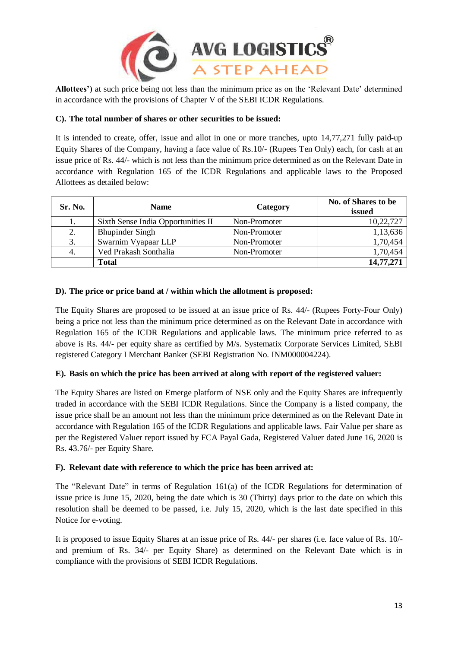

**Allottees'**) at such price being not less than the minimum price as on the 'Relevant Date' determined in accordance with the provisions of Chapter V of the SEBI ICDR Regulations.

# **C). The total number of shares or other securities to be issued:**

It is intended to create, offer, issue and allot in one or more tranches, upto 14,77,271 fully paid-up Equity Shares of the Company, having a face value of Rs.10/- (Rupees Ten Only) each, for cash at an issue price of Rs. 44/- which is not less than the minimum price determined as on the Relevant Date in accordance with Regulation 165 of the ICDR Regulations and applicable laws to the Proposed Allottees as detailed below:

| Sr. No. | <b>Name</b>                        | Category     | No. of Shares to be<br>issued |  |
|---------|------------------------------------|--------------|-------------------------------|--|
|         | Sixth Sense India Opportunities II | Non-Promoter | 10,22,727                     |  |
| 2.      | <b>Bhupinder Singh</b>             | Non-Promoter | 1,13,636                      |  |
|         | Swarnim Vyapaar LLP                | Non-Promoter | 1,70,454                      |  |
|         | Ved Prakash Sonthalia              | Non-Promoter | 1,70,454                      |  |
|         | Total                              |              | 14,77,271                     |  |

# **D). The price or price band at / within which the allotment is proposed:**

The Equity Shares are proposed to be issued at an issue price of Rs. 44/- (Rupees Forty-Four Only) being a price not less than the minimum price determined as on the Relevant Date in accordance with Regulation 165 of the ICDR Regulations and applicable laws. The minimum price referred to as above is Rs. 44/- per equity share as certified by M/s. Systematix Corporate Services Limited, SEBI registered Category I Merchant Banker (SEBI Registration No. INM000004224).

# **E). Basis on which the price has been arrived at along with report of the registered valuer:**

The Equity Shares are listed on Emerge platform of NSE only and the Equity Shares are infrequently traded in accordance with the SEBI ICDR Regulations. Since the Company is a listed company, the issue price shall be an amount not less than the minimum price determined as on the Relevant Date in accordance with Regulation 165 of the ICDR Regulations and applicable laws. Fair Value per share as per the Registered Valuer report issued by FCA Payal Gada, Registered Valuer dated June 16, 2020 is Rs. 43.76/- per Equity Share.

# **F). Relevant date with reference to which the price has been arrived at:**

The "Relevant Date" in terms of Regulation 161(a) of the ICDR Regulations for determination of issue price is June 15, 2020, being the date which is 30 (Thirty) days prior to the date on which this resolution shall be deemed to be passed, i.e. July 15, 2020, which is the last date specified in this Notice for e-voting.

It is proposed to issue Equity Shares at an issue price of Rs. 44/- per shares (i.e. face value of Rs. 10/ and premium of Rs. 34/- per Equity Share) as determined on the Relevant Date which is in compliance with the provisions of SEBI ICDR Regulations.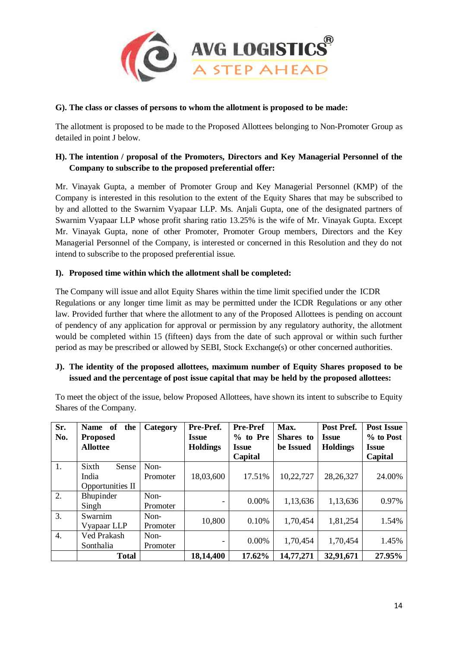

#### **G). The class or classes of persons to whom the allotment is proposed to be made:**

The allotment is proposed to be made to the Proposed Allottees belonging to Non-Promoter Group as detailed in point J below.

# **H). The intention / proposal of the Promoters, Directors and Key Managerial Personnel of the Company to subscribe to the proposed preferential offer:**

Mr. Vinayak Gupta, a member of Promoter Group and Key Managerial Personnel (KMP) of the Company is interested in this resolution to the extent of the Equity Shares that may be subscribed to by and allotted to the Swarnim Vyapaar LLP. Ms. Anjali Gupta, one of the designated partners of Swarnim Vyapaar LLP whose profit sharing ratio 13.25% is the wife of Mr. Vinayak Gupta. Except Mr. Vinayak Gupta, none of other Promoter, Promoter Group members, Directors and the Key Managerial Personnel of the Company, is interested or concerned in this Resolution and they do not intend to subscribe to the proposed preferential issue.

#### **I). Proposed time within which the allotment shall be completed:**

The Company will issue and allot Equity Shares within the time limit specified under the ICDR Regulations or any longer time limit as may be permitted under the ICDR Regulations or any other law. Provided further that where the allotment to any of the Proposed Allottees is pending on account of pendency of any application for approval or permission by any regulatory authority, the allotment would be completed within 15 (fifteen) days from the date of such approval or within such further period as may be prescribed or allowed by SEBI, Stock Exchange(s) or other concerned authorities.

# **J). The identity of the proposed allottees, maximum number of Equity Shares proposed to be issued and the percentage of post issue capital that may be held by the proposed allottees:**

To meet the object of the issue, below Proposed Allottees, have shown its intent to subscribe to Equity Shares of the Company.

| Sr.<br>No.       | of<br><b>Name</b><br>the<br><b>Proposed</b><br><b>Allottee</b> | Category | Pre-Pref.<br><b>Issue</b><br><b>Holdings</b> | <b>Pre-Pref</b><br>$%$ to Pre<br><b>Issue</b><br>Capital | Max.<br>Shares to<br>be Issued | Post Pref.<br><b>Issue</b><br><b>Holdings</b> | <b>Post Issue</b><br>% to Post<br><b>Issue</b><br>Capital |
|------------------|----------------------------------------------------------------|----------|----------------------------------------------|----------------------------------------------------------|--------------------------------|-----------------------------------------------|-----------------------------------------------------------|
| 1.               | Sixth<br>Sense                                                 | Non-     |                                              |                                                          |                                |                                               |                                                           |
|                  | India<br>Opportunities II                                      | Promoter | 18,03,600                                    | 17.51%                                                   | 10,22,727                      | 28, 26, 327                                   | 24.00%                                                    |
|                  |                                                                |          |                                              |                                                          |                                |                                               |                                                           |
| 2.               | Bhupinder                                                      | Non-     |                                              | 0.00%                                                    | 1,13,636                       | 1,13,636                                      | 0.97%                                                     |
|                  | Singh                                                          | Promoter | -                                            |                                                          |                                |                                               |                                                           |
| 3.               | Swarnim                                                        | $Non-$   | 10,800                                       | 0.10%                                                    | 1,70,454                       | 1,81,254                                      | 1.54%                                                     |
|                  | Vyapaar LLP                                                    | Promoter |                                              |                                                          |                                |                                               |                                                           |
| $\overline{4}$ . | Ved Prakash                                                    | Non-     |                                              |                                                          |                                |                                               |                                                           |
|                  | Sonthalia                                                      | Promoter | -                                            | 0.00%                                                    | 1,70,454                       | 1,70,454                                      | 1.45%                                                     |
|                  | <b>Total</b>                                                   |          | 18,14,400                                    | 17.62%                                                   | 14,77,271                      | 32,91,671                                     | 27.95%                                                    |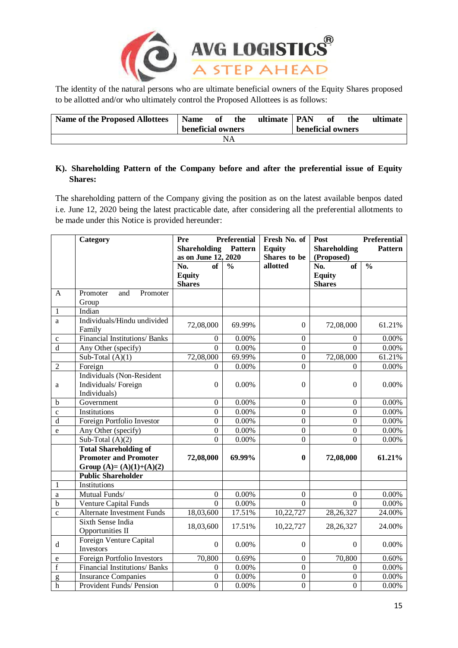

The identity of the natural persons who are ultimate beneficial owners of the Equity Shares proposed to be allotted and/or who ultimately control the Proposed Allottees is as follows:

| <b>Name of the Proposed Allottees</b> | Name of           |  | the | ultimate   PAN    |  | of | the | ultimate |
|---------------------------------------|-------------------|--|-----|-------------------|--|----|-----|----------|
|                                       | beneficial owners |  |     | beneficial owners |  |    |     |          |
| ΝA                                    |                   |  |     |                   |  |    |     |          |

# **K). Shareholding Pattern of the Company before and after the preferential issue of Equity Shares:**

The shareholding pattern of the Company giving the position as on the latest available benpos dated i.e. June 12, 2020 being the latest practicable date, after considering all the preferential allotments to be made under this Notice is provided hereunder:

|                | <b>Category</b>                                        | <b>Preferential</b><br>Pre                                   |                          | Fresh No. of                  | Post<br>Preferential<br><b>Pattern</b> |                          |  |
|----------------|--------------------------------------------------------|--------------------------------------------------------------|--------------------------|-------------------------------|----------------------------------------|--------------------------|--|
|                |                                                        | <b>Shareholding</b><br><b>Pattern</b><br>as on June 12, 2020 |                          | <b>Equity</b><br>Shares to be | <b>Shareholding</b><br>(Proposed)      |                          |  |
|                |                                                        | No.<br>of                                                    | $\overline{\frac{0}{0}}$ | allotted                      | $\overline{of}$<br>No.                 | $\overline{\frac{0}{0}}$ |  |
|                |                                                        | <b>Equity</b>                                                |                          |                               | <b>Equity</b>                          |                          |  |
|                |                                                        | <b>Shares</b>                                                |                          |                               | <b>Shares</b>                          |                          |  |
| A              | Promoter<br>and<br>Promoter                            |                                                              |                          |                               |                                        |                          |  |
|                | Group                                                  |                                                              |                          |                               |                                        |                          |  |
| $\mathbf{1}$   | Indian                                                 |                                                              |                          |                               |                                        |                          |  |
| a              | Individuals/Hindu undivided<br>Family                  | 72,08,000                                                    | 69.99%                   | $\Omega$                      | 72,08,000                              | 61.21%                   |  |
| $\mathbf{C}$   | <b>Financial Institutions/Banks</b>                    | $\boldsymbol{0}$                                             | $0.00\%$                 | $\mathbf{0}$                  | $\theta$                               | 0.00%                    |  |
| $\mathbf d$    | Any Other (specify)                                    | $\theta$                                                     | 0.00%                    | $\overline{0}$                | $\theta$                               | 0.00%                    |  |
|                | Sub-Total $(A)(1)$                                     | 72,08,000                                                    | 69.99%                   | $\overline{0}$                | 72,08,000                              | 61.21%                   |  |
| $\overline{2}$ | Foreign                                                | $\theta$                                                     | 0.00%                    | $\theta$                      | $\Omega$                               | 0.00%                    |  |
|                | Individuals (Non-Resident                              |                                                              |                          |                               |                                        |                          |  |
| a              | Individuals/Foreign                                    | $\Omega$                                                     | 0.00%                    | $\Omega$                      | $\Omega$                               | 0.00%                    |  |
|                | Individuals)                                           |                                                              |                          |                               |                                        |                          |  |
| b              | Government                                             | $\mathbf{0}$                                                 | 0.00%                    | $\boldsymbol{0}$              | $\boldsymbol{0}$                       | 0.00%                    |  |
| $\mathbf{c}$   | Institutions                                           | $\overline{0}$                                               | 0.00%                    | $\overline{0}$                | $\boldsymbol{0}$                       | 0.00%                    |  |
| $\mathbf d$    | Foreign Portfolio Investor                             | $\overline{0}$                                               | 0.00%                    | $\overline{0}$                | $\boldsymbol{0}$                       | 0.00%                    |  |
| e              | Any Other (specify)                                    | $\boldsymbol{0}$                                             | 0.00%                    | $\overline{0}$                | $\mathbf{0}$                           | $0.00\%$                 |  |
|                | Sub-Total $(A)(2)$                                     | $\overline{0}$                                               | 0.00%                    | $\overline{0}$                | $\Omega$                               | $0.00\%$                 |  |
|                | <b>Total Shareholding of</b>                           |                                                              |                          |                               |                                        |                          |  |
|                | <b>Promoter and Promoter</b>                           | 72,08,000                                                    | 69.99%                   | 0                             | 72,08,000                              | 61.21%                   |  |
|                | Group (A)= $(A)(1)+(A)(2)$                             |                                                              |                          |                               |                                        |                          |  |
|                | <b>Public Shareholder</b>                              |                                                              |                          |                               |                                        |                          |  |
| 1              | <b>Institutions</b>                                    |                                                              |                          |                               |                                        |                          |  |
| a              | Mutual Funds/                                          | $\boldsymbol{0}$                                             | 0.00%                    | $\Omega$                      | $\Omega$                               | 0.00%                    |  |
| $\mathbf b$    | <b>Venture Capital Funds</b>                           | $\Omega$                                                     | 0.00%<br>17.51%          | 0                             | $\Omega$                               | 0.00%                    |  |
| $\mathbf c$    | <b>Alternate Investment Funds</b><br>Sixth Sense India | 18,03,600                                                    |                          | 10,22,727                     | 28, 26, 327                            | 24.00%                   |  |
|                | Opportunities II                                       | 18,03,600                                                    | 17.51%                   | 10,22,727                     | 28, 26, 327                            | 24.00%                   |  |
| d              | Foreign Venture Capital<br>Investors                   | $\boldsymbol{0}$                                             | 0.00%                    | $\Omega$                      | $\Omega$                               | 0.00%                    |  |
| e              | Foreign Portfolio Investors                            | 70,800                                                       | 0.69%                    | $\mathbf{0}$                  | 70,800                                 | 0.60%                    |  |
| $\mathbf f$    | Financial Institutions/ Banks                          | $\boldsymbol{0}$                                             | 0.00%                    | $\overline{0}$                | $\Omega$                               | 0.00%                    |  |
| g              | <b>Insurance Companies</b>                             | $\overline{0}$                                               | 0.00%                    | $\mathbf{0}$                  | $\boldsymbol{0}$                       | 0.00%                    |  |
| $\mathbf h$    | Provident Funds/ Pension                               | $\overline{0}$                                               | 0.00%                    | $\overline{0}$                | $\boldsymbol{0}$                       | 0.00%                    |  |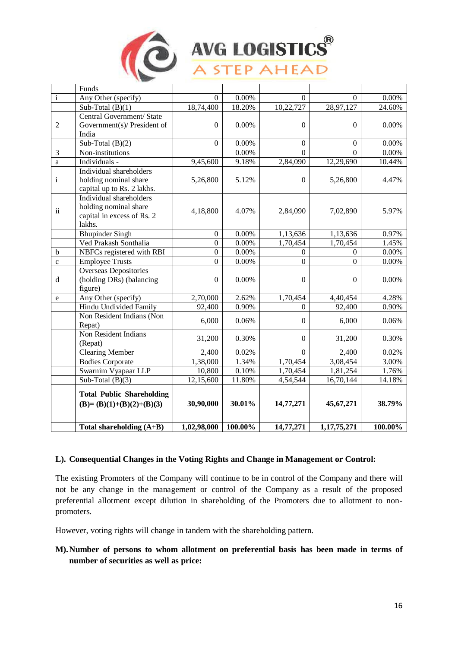

# AVG LOGISTICS<sup>®</sup>

|                | Funds                                                                                    |                  |         |                  |                |         |
|----------------|------------------------------------------------------------------------------------------|------------------|---------|------------------|----------------|---------|
| $\mathbf{i}$   | Any Other (specify)                                                                      | $\Omega$         | 0.00%   | $\Omega$         | $\Omega$       | 0.00%   |
|                | Sub-Total $(B)(1)$                                                                       | 18,74,400        | 18.20%  | 10,22,727        | 28,97,127      | 24.60%  |
| $\overline{2}$ | Central Government/ State<br>Government(s)/ President of<br>India                        | $\boldsymbol{0}$ | 0.00%   | $\mathbf{0}$     | $\mathbf{0}$   | 0.00%   |
|                | Sub-Total $(B)(2)$                                                                       | $\mathbf{0}$     | 0.00%   | $\overline{0}$   | $\mathbf{0}$   | 0.00%   |
| 3              | Non-institutions                                                                         |                  | 0.00%   | $\theta$         | $\theta$       | 0.00%   |
| $\rm{a}$       | Individuals -                                                                            | 9,45,600         | 9.18%   | 2,84,090         | 12,29,690      | 10.44%  |
| $\mathbf{i}$   | Individual shareholders<br>holding nominal share<br>capital up to Rs. 2 lakhs.           | 5,26,800         | 5.12%   | $\theta$         | 5,26,800       | 4.47%   |
| $\rm ii$       | Individual shareholders<br>holding nominal share<br>capital in excess of Rs. 2<br>lakhs. | 4,18,800         | 4.07%   | 2,84,090         | 7,02,890       | 5.97%   |
|                | <b>Bhupinder Singh</b>                                                                   | $\boldsymbol{0}$ | 0.00%   | 1,13,636         | 1,13,636       | 0.97%   |
|                | Ved Prakash Sonthalia                                                                    | $\mathbf{0}$     | 0.00%   | 1,70,454         | 1,70,454       | 1.45%   |
| $\mathbf b$    | NBFCs registered with RBI                                                                | $\overline{0}$   | 0.00%   | $\mathbf{0}$     | $\overline{0}$ | 0.00%   |
| $\mathbf c$    | <b>Employee Trusts</b>                                                                   | $\overline{0}$   | 0.00%   | $\overline{0}$   | $\overline{0}$ | 0.00%   |
| $\rm d$        | <b>Overseas Depositories</b><br>(holding DRs) (balancing<br>figure)                      | $\boldsymbol{0}$ | 0.00%   | $\boldsymbol{0}$ | $\mathbf{0}$   | 0.00%   |
| e              | Any Other (specify)                                                                      | 2,70,000         | 2.62%   | 1,70,454         | 4,40,454       | 4.28%   |
|                | Hindu Undivided Family                                                                   | 92,400           | 0.90%   | $\theta$         | 92,400         | 0.90%   |
|                | Non Resident Indians (Non<br>Repat)                                                      | 6,000            | 0.06%   | $\boldsymbol{0}$ | 6,000          | 0.06%   |
|                | Non Resident Indians<br>(Repat)                                                          | 31,200           | 0.30%   | $\Omega$         | 31,200         | 0.30%   |
|                | <b>Clearing Member</b>                                                                   | 2,400            | 0.02%   | $\Omega$         | 2,400          | 0.02%   |
|                | <b>Bodies Corporate</b>                                                                  | 1,38,000         | 1.34%   | 1,70,454         | 3,08,454       | 3.00%   |
|                | Swarnim Vyapaar LLP                                                                      | 10,800           | 0.10%   | 1,70,454         | 1,81,254       | 1.76%   |
|                | Sub-Total $(B)(3)$                                                                       | 12,15,600        | 11.80%  | 4,54,544         | 16,70,144      | 14.18%  |
|                | <b>Total Public Shareholding</b><br>$(B)=(B)(1)+(B)(2)+(B)(3)$                           | 30,90,000        | 30.01%  | 14,77,271        | 45,67,271      | 38.79%  |
|                | Total shareholding $(A+B)$                                                               | 1,02,98,000      | 100.00% | 14,77,271        | 1,17,75,271    | 100.00% |

# **L). Consequential Changes in the Voting Rights and Change in Management or Control:**

The existing Promoters of the Company will continue to be in control of the Company and there will not be any change in the management or control of the Company as a result of the proposed preferential allotment except dilution in shareholding of the Promoters due to allotment to nonpromoters.

However, voting rights will change in tandem with the shareholding pattern.

**M).Number of persons to whom allotment on preferential basis has been made in terms of number of securities as well as price:**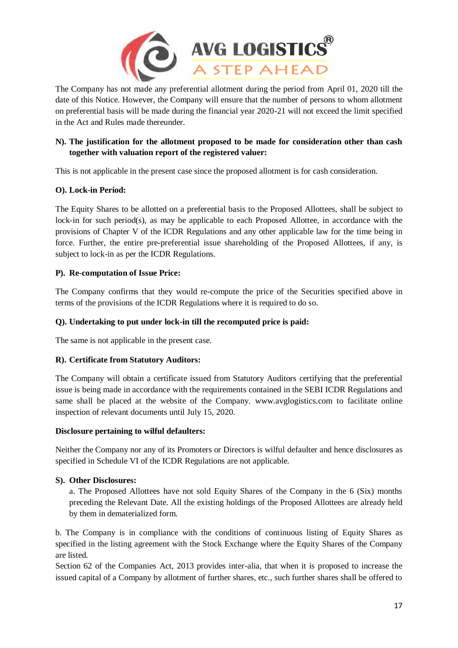

The Company has not made any preferential allotment during the period from April 01, 2020 till the date of this Notice. However, the Company will ensure that the number of persons to whom allotment on preferential basis will be made during the financial year 2020-21 will not exceed the limit specified in the Act and Rules made thereunder.

# **N). The justification for the allotment proposed to be made for consideration other than cash together with valuation report of the registered valuer:**

This is not applicable in the present case since the proposed allotment is for cash consideration.

# **O). Lock-in Period:**

The Equity Shares to be allotted on a preferential basis to the Proposed Allottees, shall be subject to lock-in for such period(s), as may be applicable to each Proposed Allottee, in accordance with the provisions of Chapter V of the ICDR Regulations and any other applicable law for the time being in force. Further, the entire pre-preferential issue shareholding of the Proposed Allottees, if any, is subject to lock-in as per the ICDR Regulations.

# **P). Re-computation of Issue Price:**

The Company confirms that they would re-compute the price of the Securities specified above in terms of the provisions of the ICDR Regulations where it is required to do so.

# **Q). Undertaking to put under lock-in till the recomputed price is paid:**

The same is not applicable in the present case.

# **R). Certificate from Statutory Auditors:**

The Company will obtain a certificate issued from Statutory Auditors certifying that the preferential issue is being made in accordance with the requirements contained in the SEBI ICDR Regulations and same shall be placed at the website of the Company. www.avglogistics.com to facilitate online inspection of relevant documents until July 15, 2020.

# **Disclosure pertaining to wilful defaulters:**

Neither the Company nor any of its Promoters or Directors is wilful defaulter and hence disclosures as specified in Schedule VI of the ICDR Regulations are not applicable.

# **S). Other Disclosures:**

a. The Proposed Allottees have not sold Equity Shares of the Company in the 6 (Six) months preceding the Relevant Date. All the existing holdings of the Proposed Allottees are already held by them in dematerialized form.

b. The Company is in compliance with the conditions of continuous listing of Equity Shares as specified in the listing agreement with the Stock Exchange where the Equity Shares of the Company are listed.

Section 62 of the Companies Act, 2013 provides inter-alia, that when it is proposed to increase the issued capital of a Company by allotment of further shares, etc., such further shares shall be offered to